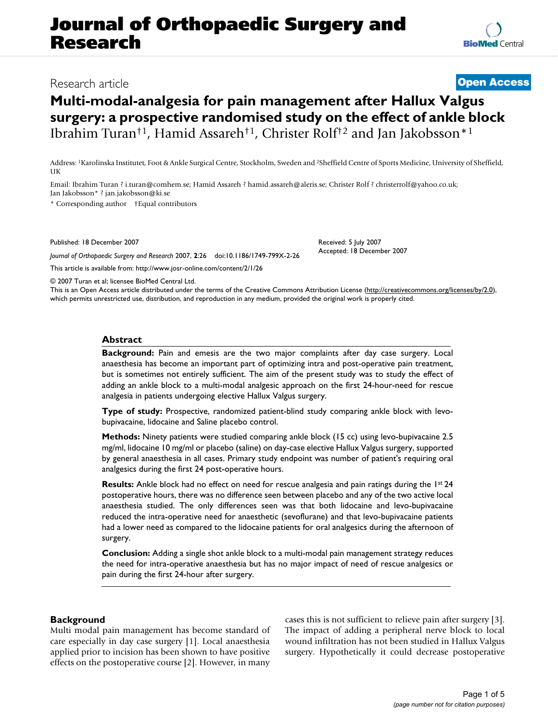# **Journal of Orthopaedic Surgery and Research**

## Research article **[Open Access](http://www.biomedcentral.com/info/about/charter/)**

## **Multi-modal-analgesia for pain management after Hallux Valgus surgery: a prospective randomised study on the effect of ankle block** Ibrahim Turan†1, Hamid Assareh†1, Christer Rolf†2 and Jan Jakobsson\*1

Address: 1Karolinska Institutet, Foot & Ankle Surgical Centre, Stockholm, Sweden and 2Sheffield Centre of Sports Medicine, University of Sheffield, **IK** 

Email: Ibrahim Turan ? i.turan@comhem.se; Hamid Assareh ? hamid.assareh@aleris.se; Christer Rolf ? christerrolf@yahoo.co.uk; Jan Jakobsson\* ? jan.jakobsson@ki.se

\* Corresponding author †Equal contributors

Published: 18 December 2007

*Journal of Orthopaedic Surgery and Research* 2007, **2**:26 doi:10.1186/1749-799X-2-26

[This article is available from: http://www.josr-online.com/content/2/1/26](http://www.josr-online.com/content/2/1/26)

© 2007 Turan et al; licensee BioMed Central Ltd.

This is an Open Access article distributed under the terms of the Creative Commons Attribution License [\(http://creativecommons.org/licenses/by/2.0\)](http://creativecommons.org/licenses/by/2.0), which permits unrestricted use, distribution, and reproduction in any medium, provided the original work is properly cited.

### **Abstract**

**Background:** Pain and emesis are the two major complaints after day case surgery. Local anaesthesia has become an important part of optimizing intra and post-operative pain treatment, but is sometimes not entirely sufficient. The aim of the present study was to study the effect of adding an ankle block to a multi-modal analgesic approach on the first 24-hour-need for rescue analgesia in patients undergoing elective Hallux Valgus surgery.

**Type of study:** Prospective, randomized patient-blind study comparing ankle block with levobupivacaine, lidocaine and Saline placebo control.

**Methods:** Ninety patients were studied comparing ankle block (15 cc) using levo-bupivacaine 2.5 mg/ml, lidocaine 10 mg/ml or placebo (saline) on day-case elective Hallux Valgus surgery, supported by general anaesthesia in all cases. Primary study endpoint was number of patient's requiring oral analgesics during the first 24 post-operative hours.

**Results:** Ankle block had no effect on need for rescue analgesia and pain ratings during the 1st 24 postoperative hours, there was no difference seen between placebo and any of the two active local anaesthesia studied. The only differences seen was that both lidocaine and levo-bupivacaine reduced the intra-operative need for anaesthetic (sevoflurane) and that levo-bupivacaine patients had a lower need as compared to the lidocaine patients for oral analgesics during the afternoon of surgery.

**Conclusion:** Adding a single shot ankle block to a multi-modal pain management strategy reduces the need for intra-operative anaesthesia but has no major impact of need of rescue analgesics or pain during the first 24-hour after surgery.

## **Background**

Multi modal pain management has become standard of care especially in day case surgery [1]. Local anaesthesia applied prior to incision has been shown to have positive effects on the postoperative course [2]. However, in many

cases this is not sufficient to relieve pain after surgery [3]. The impact of adding a peripheral nerve block to local wound infiltration has not been studied in Hallux Valgus surgery. Hypothetically it could decrease postoperative

Received: 5 July 2007 Accepted: 18 December 2007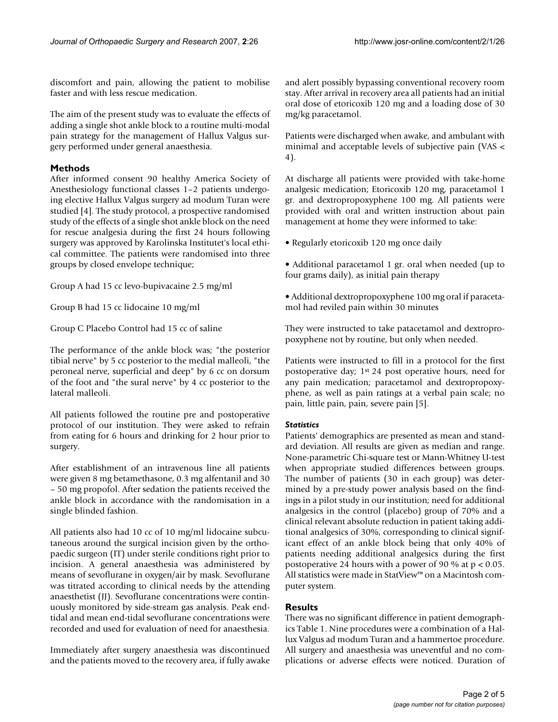discomfort and pain, allowing the patient to mobilise faster and with less rescue medication.

The aim of the present study was to evaluate the effects of adding a single shot ankle block to a routine multi-modal pain strategy for the management of Hallux Valgus surgery performed under general anaesthesia.

## **Methods**

After informed consent 90 healthy America Society of Anesthesiology functional classes 1–2 patients undergoing elective Hallux Valgus surgery ad modum Turan were studied [4]. The study protocol, a prospective randomised study of the effects of a single shot ankle block on the need for rescue analgesia during the first 24 hours following surgery was approved by Karolinska Institutet's local ethical committee. The patients were randomised into three groups by closed envelope technique;

Group A had 15 cc levo-bupivacaine 2.5 mg/ml

Group B had 15 cc lidocaine 10 mg/ml

Group C Placebo Control had 15 cc of saline

The performance of the ankle block was; "the posterior tibial nerve" by 5 cc posterior to the medial malleoli, "the peroneal nerve, superficial and deep" by 6 cc on dorsum of the foot and "the sural nerve" by 4 cc posterior to the lateral malleoli.

All patients followed the routine pre and postoperative protocol of our institution. They were asked to refrain from eating for 6 hours and drinking for 2 hour prior to surgery.

After establishment of an intravenous line all patients were given 8 mg betamethasone, 0.3 mg alfentanil and 30 – 50 mg propofol. After sedation the patients received the ankle block in accordance with the randomisation in a single blinded fashion.

All patients also had 10 cc of 10 mg/ml lidocaine subcutaneous around the surgical incision given by the orthopaedic surgeon (IT) under sterile conditions right prior to incision. A general anaesthesia was administered by means of sevoflurane in oxygen/air by mask. Sevoflurane was titrated according to clinical needs by the attending anaesthetist (JJ). Sevoflurane concentrations were continuously monitored by side-stream gas analysis. Peak endtidal and mean end-tidal sevoflurane concentrations were recorded and used for evaluation of need for anaesthesia.

Immediately after surgery anaesthesia was discontinued and the patients moved to the recovery area, if fully awake and alert possibly bypassing conventional recovery room stay. After arrival in recovery area all patients had an initial oral dose of etoricoxib 120 mg and a loading dose of 30 mg/kg paracetamol.

Patients were discharged when awake, and ambulant with minimal and acceptable levels of subjective pain (VAS < 4).

At discharge all patients were provided with take-home analgesic medication; Etoricoxib 120 mg, paracetamol 1 gr. and dextropropoxyphene 100 mg. All patients were provided with oral and written instruction about pain management at home they were informed to take:

• Regularly etoricoxib 120 mg once daily

• Additional paracetamol 1 gr. oral when needed (up to four grams daily), as initial pain therapy

• Additional dextropropoxyphene 100 mg oral if paracetamol had reviled pain within 30 minutes

They were instructed to take patacetamol and dextropropoxyphene not by routine, but only when needed.

Patients were instructed to fill in a protocol for the first postoperative day; 1st 24 post operative hours, need for any pain medication; paracetamol and dextropropoxyphene, as well as pain ratings at a verbal pain scale; no pain, little pain, pain, severe pain [5].

## *Statistics*

Patients' demographics are presented as mean and standard deviation. All results are given as median and range. None-parametric Chi-square test or Mann-Whitney U-test when appropriate studied differences between groups. The number of patients (30 in each group) was determined by a pre-study power analysis based on the findings in a pilot study in our institution; need for additional analgesics in the control (placebo) group of 70% and a clinical relevant absolute reduction in patient taking additional analgesics of 30%, corresponding to clinical significant effect of an ankle block being that only 40% of patients needing additional analgesics during the first postoperative 24 hours with a power of 90 % at p < 0.05. All statistics were made in StatView™ on a Macintosh computer system.

## **Results**

There was no significant difference in patient demographics Table 1. Nine procedures were a combination of a Hallux Valgus ad modum Turan and a hammertoe procedure. All surgery and anaesthesia was uneventful and no complications or adverse effects were noticed. Duration of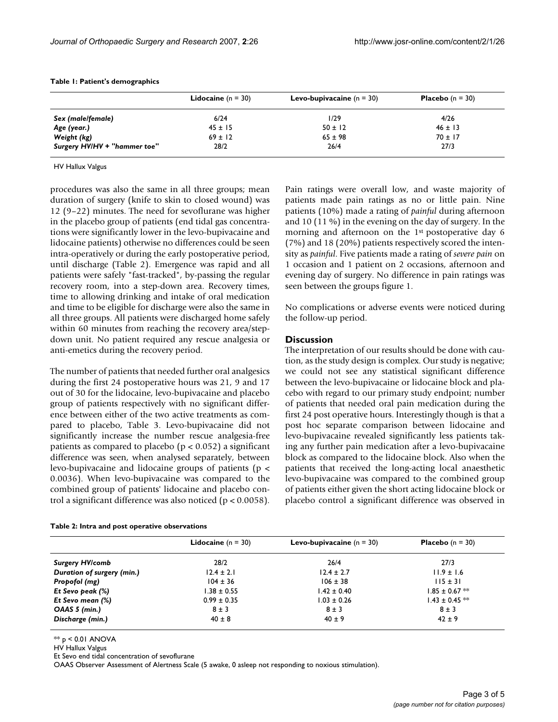|                              | <b>Lidocaine</b> $(n = 30)$ | <b>Levo-bupivacaine</b> $(n = 30)$ | <b>Placebo</b> $(n = 30)$ |
|------------------------------|-----------------------------|------------------------------------|---------------------------|
| Sex (male/female)            | 6/24                        | 1/29                               | 4/26                      |
| Age (year.)                  | $45 \pm 15$                 | $50 \pm 12$                        | $46 \pm 13$               |
| Weight (kg)                  | $69 \pm 12$                 | $65 \pm 98$                        | $70 \pm 17$               |
| Surgery HV/HV + "hammer toe" | 28/2                        | 26/4                               | 27/3                      |

#### **Table 1: Patient's demographics**

#### HV Hallux Valgus

procedures was also the same in all three groups; mean duration of surgery (knife to skin to closed wound) was 12 (9–22) minutes. The need for sevoflurane was higher in the placebo group of patients (end tidal gas concentrations were significantly lower in the levo-bupivacaine and lidocaine patients) otherwise no differences could be seen intra-operatively or during the early postoperative period, until discharge (Table 2). Emergence was rapid and all patients were safely "fast-tracked", by-passing the regular recovery room, into a step-down area. Recovery times, time to allowing drinking and intake of oral medication and time to be eligible for discharge were also the same in all three groups. All patients were discharged home safely within 60 minutes from reaching the recovery area/stepdown unit. No patient required any rescue analgesia or anti-emetics during the recovery period.

The number of patients that needed further oral analgesics during the first 24 postoperative hours was 21, 9 and 17 out of 30 for the lidocaine, levo-bupivacaine and placebo group of patients respectively with no significant difference between either of the two active treatments as compared to placebo, Table 3. Levo-bupivacaine did not significantly increase the number rescue analgesia-free patients as compared to placebo ( $p < 0.052$ ) a significant difference was seen, when analysed separately, between levo-bupivacaine and lidocaine groups of patients (p < 0.0036). When levo-bupivacaine was compared to the combined group of patients' lidocaine and placebo control a significant difference was also noticed (p < 0.0058).

|  | Table 2: Intra and post operative observations |
|--|------------------------------------------------|
|--|------------------------------------------------|

Pain ratings were overall low, and waste majority of patients made pain ratings as no or little pain. Nine patients (10%) made a rating of *painful* during afternoon and 10 (11 %) in the evening on the day of surgery. In the morning and afternoon on the 1st postoperative day 6 (7%) and 18 (20%) patients respectively scored the intensity as *painful*. Five patients made a rating of *severe pain* on 1 occasion and 1 patient on 2 occasions, afternoon and evening day of surgery. No difference in pain ratings was seen between the groups figure 1.

No complications or adverse events were noticed during the follow-up period.

## **Discussion**

The interpretation of our results should be done with caution, as the study design is complex. Our study is negative; we could not see any statistical significant difference between the levo-bupivacaine or lidocaine block and placebo with regard to our primary study endpoint; number of patients that needed oral pain medication during the first 24 post operative hours. Interestingly though is that a post hoc separate comparison between lidocaine and levo-bupivacaine revealed significantly less patients taking any further pain medication after a levo-bupivacaine block as compared to the lidocaine block. Also when the patients that received the long-acting local anaesthetic levo-bupivacaine was compared to the combined group of patients either given the short acting lidocaine block or placebo control a significant difference was observed in

|                            | <b>Lidocaine</b> $(n = 30)$ | <b>Levo-bupivacaine</b> $(n = 30)$ | <b>Placebo</b> $(n = 30)$ |
|----------------------------|-----------------------------|------------------------------------|---------------------------|
| <b>Surgery HV/comb</b>     | 28/2                        | 26/4                               | 27/3                      |
| Duration of surgery (min.) | $12.4 \pm 2.1$              | $12.4 \pm 2.7$                     | $11.9 \pm 1.6$            |
| Propofol (mg)              | $104 \pm 36$                | $106 \pm 38$                       | $115 \pm 31$              |
| Et Sevo peak (%)           | $1.38 \pm 0.55$             | $1.42 \pm 0.40$                    | $1.85 \pm 0.67$ **        |
| Et Sevo mean (%)           | $0.99 \pm 0.35$             | $1.03 \pm 0.26$                    | $1.43 \pm 0.45$ **        |
| OAAS 5 (min.)              | $8 \pm 3$                   | $8 \pm 3$                          | $8 \pm 3$                 |
| Discharge (min.)           | $40 \pm 8$                  | $40 \pm 9$                         | $42 \pm 9$                |

 $** p < 0.01$  ANOVA

HV Hallux Valgus

Et Sevo end tidal concentration of sevoflurane

OAAS Observer Assessment of Alertness Scale (5 awake, 0 asleep not responding to noxious stimulation).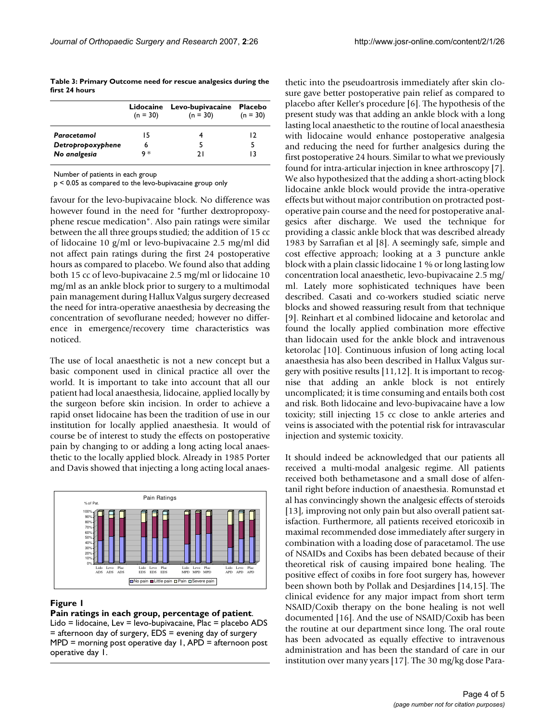**Table 3: Primary Outcome need for rescue analgesics during the first 24 hours**

| $(n = 30)$ | $(n = 30)$ | <b>Placebo</b><br>$(n = 30)$ |
|------------|------------|------------------------------|
| 15         |            | 12                           |
| 6          |            |                              |
| q ∗        | າ ເ        | 13                           |
|            |            | Lidocaine Levo-bupivacaine   |

Number of patients in each group

p < 0.05 as compared to the levo-bupivacaine group only

favour for the levo-bupivacaine block. No difference was however found in the need for "further dextropropoxyphene rescue medication". Also pain ratings were similar between the all three groups studied; the addition of 15 cc of lidocaine 10 g/ml or levo-bupivacaine 2.5 mg/ml did not affect pain ratings during the first 24 postoperative hours as compared to placebo. We found also that adding both 15 cc of levo-bupivacaine 2.5 mg/ml or lidocaine 10 mg/ml as an ankle block prior to surgery to a multimodal pain management during Hallux Valgus surgery decreased the need for intra-operative anaesthesia by decreasing the concentration of sevoflurane needed; however no difference in emergence/recovery time characteristics was noticed.

The use of local anaesthetic is not a new concept but a basic component used in clinical practice all over the world. It is important to take into account that all our patient had local anaesthesia, lidocaine, applied locally by the surgeon before skin incision. In order to achieve a rapid onset lidocaine has been the tradition of use in our institution for locally applied anaesthesia. It would of course be of interest to study the effects on postoperative pain by changing to or adding a long acting local anaesthetic to the locally applied block. Already in 1985 Porter and Davis showed that injecting a long acting local anaes-



## **Figure 1**

**Pain ratings in each group, percentage of patient**. Lido = lidocaine, Lev = levo-bupivacaine, Plac = placebo ADS = afternoon day of surgery, EDS = evening day of surgery MPD = morning post operative day 1, APD = afternoon post operative day 1.

thetic into the pseudoartrosis immediately after skin closure gave better postoperative pain relief as compared to placebo after Keller's procedure [6]. The hypothesis of the present study was that adding an ankle block with a long lasting local anaesthetic to the routine of local anaesthesia with lidocaine would enhance postoperative analgesia and reducing the need for further analgesics during the first postoperative 24 hours. Similar to what we previously found for intra-articular injection in knee arthroscopy [7]. We also hypothesized that the adding a short-acting block lidocaine ankle block would provide the intra-operative effects but without major contribution on protracted postoperative pain course and the need for postoperative analgesics after discharge. We used the technique for providing a classic ankle block that was described already 1983 by Sarrafian et al [8]. A seemingly safe, simple and cost effective approach; looking at a 3 puncture ankle block with a plain classic lidocaine 1 % or long lasting low concentration local anaesthetic, levo-bupivacaine 2.5 mg/ ml. Lately more sophisticated techniques have been described. Casati and co-workers studied sciatic nerve blocks and showed reassuring result from that technique [9]. Reinhart et al combined lidocaine and ketorolac and found the locally applied combination more effective than lidocain used for the ankle block and intravenous ketorolac [10]. Continuous infusion of long acting local anaesthesia has also been described in Hallux Valgus surgery with positive results [11,12]. It is important to recognise that adding an ankle block is not entirely uncomplicated; it is time consuming and entails both cost and risk. Both lidocaine and levo-bupivacaine have a low toxicity; still injecting 15 cc close to ankle arteries and veins is associated with the potential risk for intravascular injection and systemic toxicity.

It should indeed be acknowledged that our patients all received a multi-modal analgesic regime. All patients received both bethametasone and a small dose of alfentanil right before induction of anaesthesia. Romunstad et al has convincingly shown the analgesic effects of steroids [13], improving not only pain but also overall patient satisfaction. Furthermore, all patients received etoricoxib in maximal recommended dose immediately after surgery in combination with a loading dose of paracetamol. The use of NSAIDs and Coxibs has been debated because of their theoretical risk of causing impaired bone healing. The positive effect of coxibs in fore foot surgery has, however been shown both by Pollak and Desjardines [14,15]. The clinical evidence for any major impact from short term NSAID/Coxib therapy on the bone healing is not well documented [16]. And the use of NSAID/Coxib has been the routine at our department since long. The oral route has been advocated as equally effective to intravenous administration and has been the standard of care in our institution over many years [17]. The 30 mg/kg dose Para